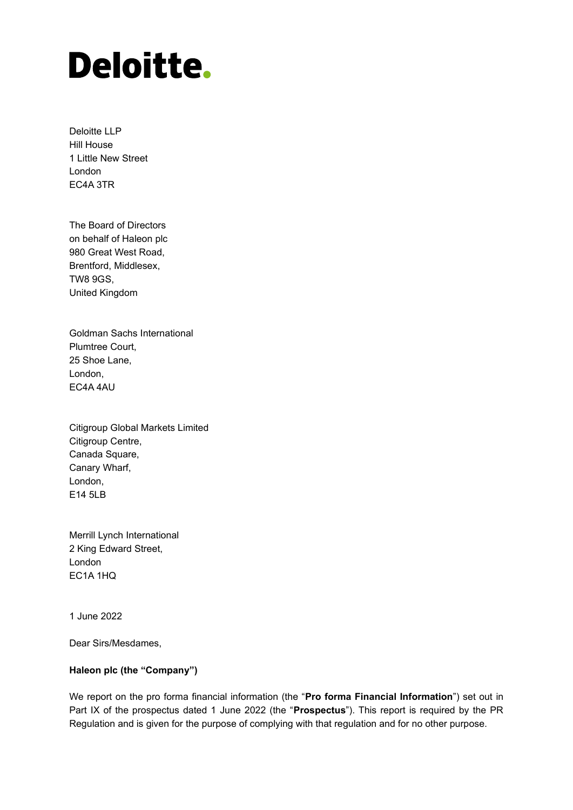# **Deloitte.**

Deloitte LLP Hill House 1 Little New Street London EC4A 3TR

The Board of Directors on behalf of Haleon plc 980 Great West Road, Brentford, Middlesex, TW8 9GS, United Kingdom

Goldman Sachs International Plumtree Court, 25 Shoe Lane, London, EC4A 4AU

Citigroup Global Markets Limited Citigroup Centre, Canada Square, Canary Wharf, London, E14 5LB

Merrill Lynch International 2 King Edward Street, London EC1A 1HQ

1 June 2022

Dear Sirs/Mesdames,

# **Haleon plc (the "Company")**

We report on the pro forma financial information (the "**Pro forma Financial Information**") set out in Part IX of the prospectus dated 1 June 2022 (the "**Prospectus**"). This report is required by the PR Regulation and is given for the purpose of complying with that regulation and for no other purpose.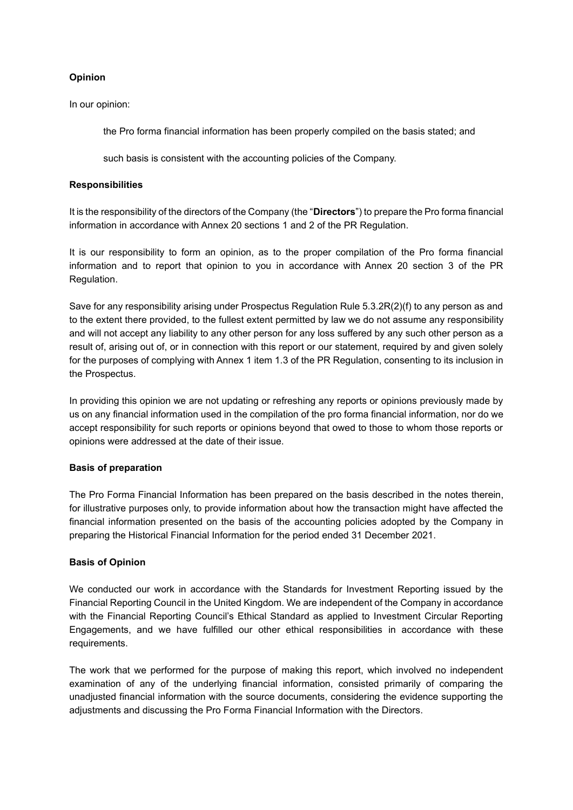# **Opinion**

In our opinion:

the Pro forma financial information has been properly compiled on the basis stated; and

such basis is consistent with the accounting policies of the Company.

#### **Responsibilities**

It is the responsibility of the directors of the Company (the "**Directors**") to prepare the Pro forma financial information in accordance with Annex 20 sections 1 and 2 of the PR Regulation.

It is our responsibility to form an opinion, as to the proper compilation of the Pro forma financial information and to report that opinion to you in accordance with Annex 20 section 3 of the PR Regulation.

Save for any responsibility arising under Prospectus Regulation Rule 5.3.2R(2)(f) to any person as and to the extent there provided, to the fullest extent permitted by law we do not assume any responsibility and will not accept any liability to any other person for any loss suffered by any such other person as a result of, arising out of, or in connection with this report or our statement, required by and given solely for the purposes of complying with Annex 1 item 1.3 of the PR Regulation, consenting to its inclusion in the Prospectus.

In providing this opinion we are not updating or refreshing any reports or opinions previously made by us on any financial information used in the compilation of the pro forma financial information, nor do we accept responsibility for such reports or opinions beyond that owed to those to whom those reports or opinions were addressed at the date of their issue.

# **Basis of preparation**

The Pro Forma Financial Information has been prepared on the basis described in the notes therein, for illustrative purposes only, to provide information about how the transaction might have affected the financial information presented on the basis of the accounting policies adopted by the Company in preparing the Historical Financial Information for the period ended 31 December 2021.

# **Basis of Opinion**

We conducted our work in accordance with the Standards for Investment Reporting issued by the Financial Reporting Council in the United Kingdom. We are independent of the Company in accordance with the Financial Reporting Council's Ethical Standard as applied to Investment Circular Reporting Engagements, and we have fulfilled our other ethical responsibilities in accordance with these requirements.

The work that we performed for the purpose of making this report, which involved no independent examination of any of the underlying financial information, consisted primarily of comparing the unadjusted financial information with the source documents, considering the evidence supporting the adjustments and discussing the Pro Forma Financial Information with the Directors.